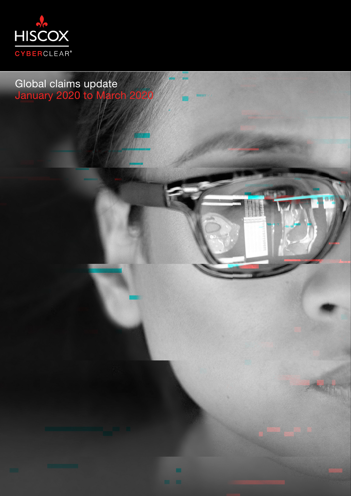

Global claims update January 2020 to March 2020

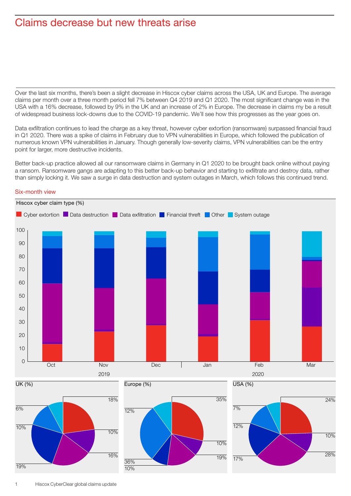# Claims decrease but new threats arise

Over the last six months, there's been a slight decrease in Hiscox cyber claims across the USA, UK and Europe. The average claims per month over a three month period fell 7% between Q4 2019 and Q1 2020. The most significant change was in the USA with a 16% decrease, followed by 9% in the UK and an increase of 2% in Europe. The decrease in claims my be a result of widespread business lock-downs due to the COVID-19 pandemic. We'll see how this progresses as the year goes on.

Data exfiltration continues to lead the charge as a key threat, however cyber extortion (ransomware) surpassed financial fraud in Q1 2020. There was a spike of claims in February due to VPN vulnerabilities in Europe, which followed the publication of numerous known VPN vulnerabilities in January. Though generally low-severity claims, VPN vulnerabilities can be the entry point for larger, more destructive incidents.

Better back-up practice allowed all our ransomware claims in Germany in Q1 2020 to be brought back online without paying a ransom. Ransomware gangs are adapting to this better back-up behavior and starting to exfiltrate and destroy data, rather than simply locking it. We saw a surge in data destruction and system outages in March, which follows this continued trend.



# Six-month view

UK (%)





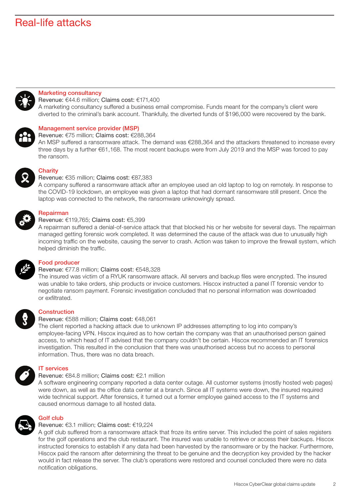# Real-life attacks



## Marketing consultancy

Revenue: €44.6 million; Claims cost: €171,400

A marketing consultancy suffered a business email compromise. Funds meant for the company's client were diverted to the criminal's bank account. Thankfully, the diverted funds of \$196,000 were recovered by the bank.



#### Management service provider (MSP) Revenue: €75 million; Claims cost: €288,364

An MSP suffered a ransomware attack. The demand was €288,364 and the attackers threatened to increase every three days by a further €61,168. The most recent backups were from July 2019 and the MSP was forced to pay the ransom.



#### **Charity** Revenue: €35 million; Claims cost: €87,383

A company suffered a ransomware attack after an employee used an old laptop to log on remotely. In response to the COVID-19 lockdown, an employee was given a laptop that had dormant ransomware still present. Once the laptop was connected to the network, the ransomware unknowingly spread.



## Repairman

#### Revenue: €119,765; Claims cost: €5,399

A repairman suffered a denial-of-service attack that that blocked his or her website for several days. The repairman managed getting forensic work completed. It was determined the cause of the attack was due to unusually high incoming traffic on the website, causing the server to crash. Action was taken to improve the firewall system, which helped diminish the traffic.



# Food producer

#### Revenue: €77.8 million; Claims cost: €548,328

The insured was victim of a RYUK ransomware attack. All servers and backup files were encrypted. The insured was unable to take orders, ship products or invoice customers. Hiscox instructed a panel IT forensic vendor to negotiate ransom payment. Forensic investigation concluded that no personal information was downloaded or exfiltrated.



#### **Construction**

#### Revenue: €588 million; Claims cost: €48,061

The client reported a hacking attack due to unknown IP addresses attempting to log into company's employee-facing VPN. Hiscox inquired as to how certain the company was that an unauthorised person gained access, to which head of IT advised that the company couldn't be certain. Hiscox recommended an IT forensics investigation. This resulted in the conclusion that there was unauthorised access but no access to personal information. Thus, there was no data breach.



# IT services

## Revenue: €84.8 million; Claims cost: €2.1 million

A software engineering company reported a data center outage. All customer systems (mostly hosted web pages) were down, as well as the office data center at a branch. Since all IT systems were down, the insured required wide technical support. After forensics, it turned out a former employee gained access to the IT systems and caused enormous damage to all hosted data.



#### Golf club

## Revenue: €3.1 million; Claims cost: €19,224

A golf club suffered from a ransomware attack that froze its entire server. This included the point of sales registers for the golf operations and the club restaurant. The insured was unable to retrieve or access their backups. Hiscox instructed forensics to establish if any data had been harvested by the ransomware or by the hacker. Furthermore, Hiscox paid the ransom after determining the threat to be genuine and the decryption key provided by the hacker would in fact release the server. The club's operations were restored and counsel concluded there were no data notification obligations.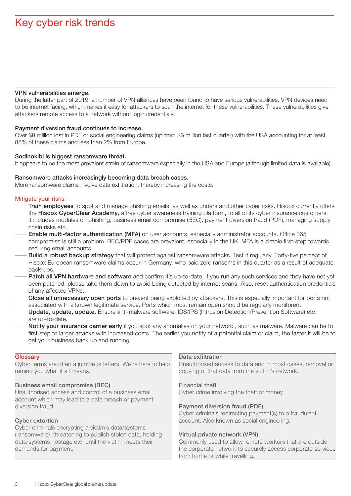## VPN vulnerabilities emerge.

During the latter part of 2019, a number of VPN alliances have been found to have serious vulnerabilities. VPN devices need to be internet facing, which makes it easy for attackers to scan the internet for these vulnerabilities. These vulnerabilities give attackers remote access to a network without login credentials.

## Payment diversion fraud continues to increase.

Over \$8 million lost in PDF or social engineering claims (up from \$6 million last quarter) with the USA accounting for at least 85% of these claims and less than 2% from Europe.

## Sodinokibi is biggest ransomware threat.

It appears to be the most prevalent strain of ransomware especially in the USA and Europe (although limited data is available).

## Ransomware attacks increasingly becoming data breach cases.

More ransomware claims involve data exfiltration, thereby increasing the costs.

## Mitigate your risks

- Train employees to spot and manage phishing emails, as well as understand other cyber risks. Hiscox currently offers the Hiscox CyberClear Academy, a free cyber awareness training platform, to all of its cyber insurance customers. It includes modules on phishing, business email compromise (BEC), payment diversion fraud (PDF), managing supply chain risks etc.
- Enable multi-factor authentication (MFA) on user accounts, especially administrator accounts. Office 365 compromise is still a problem. BEC/PDF cases are prevalent, especially in the UK. MFA is a simple first-step towards securing email accounts.
- Build a robust backup strategy that will protect against ransomware attacks. Test it regularly. Forty-five percept of Hiscox European ransomware claims occur in Germany, who paid zero ransoms in this quarter as a result of adequate back-ups.
- Patch all VPN hardware and software and confirm it's up-to-date. If you run any such services and they have not yet been patched, please take them down to avoid being detected by internet scans. Also, reset authentication credentials of any affected VPNs.
- Close all unnecessary open ports to prevent being exploited by attackers. This is especially important for ports not associated with a known legitimate service. Ports which must remain open should be regularly monitored.
- Update, update, update. Ensure anti-malware software, IDS/IPS (Intrusion Detection/Prevention Software) etc. are up-to-date.
- Notify your insurance carrier early if you spot any anomalies on your network, such as malware. Malware can be to first step to larger attacks with increased costs. The earlier you notify of a potential claim or claim, the faster it will be to get your business back up and running.

## **Glossary**

Cyber terms are often a jumble of letters. We're here to help remind you what it all means.

# Business email compromise (BEC)

Unauthorised access and control of a business email account which may lead to a data breach or payment diversion fraud.

# Cyber extortion

Cyber criminals encrypting a victim's data/systems (ransomware), threatening to publish stolen data, holding data/systems hostage etc. until the victim meets their demands for payment.

## Data exfiltration

Unauthorised access to data and in most cases, removal or copying of that data from the victim's network.

## Financial theft

Cyber crime involving the theft of money.

## Payment diversion fraud (PDF)

Cyber criminals redirecting payment(s) to a fraudulent account. Also known as social engineering.

# Virtual private network (VPN)

Commonly used to allow remote workers that are outside the corporate network to securely access corporate services from home or while travelling.